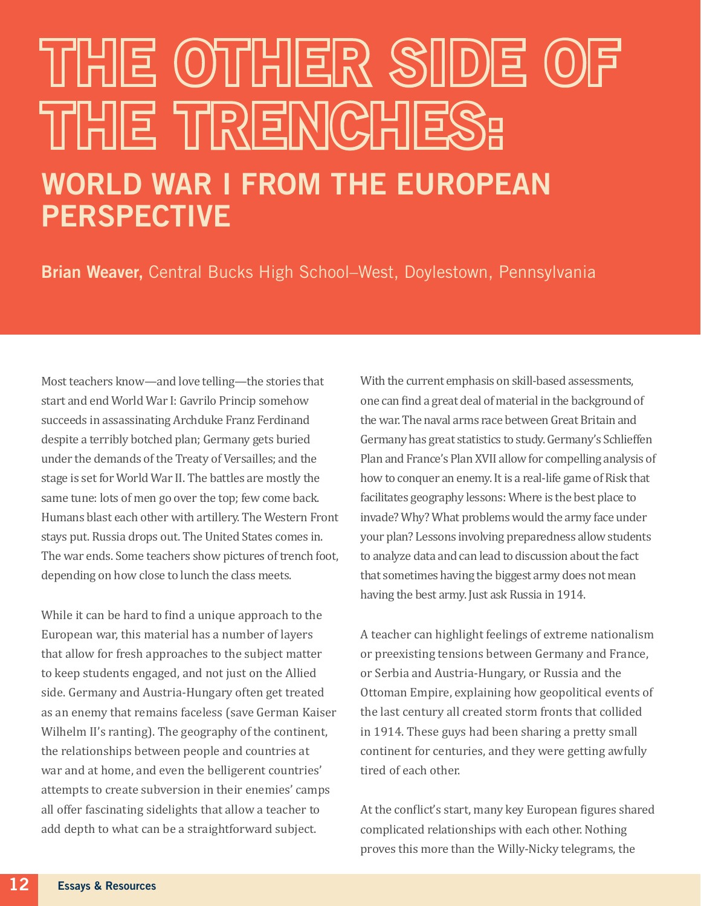## THE OTHER SIDE O THE TRENCHES: WORLD WAR I FROM THE EUROPEAN

PERSPECTIVE

Brian Weaver, Central Bucks High School–West, Doylestown, Pennsylvania

Most teachers know—and love telling—the stories that start and end World War I: Gavrilo Princip somehow succeeds in assassinating Archduke Franz Ferdinand despite a terribly botched plan; Germany gets buried under the demands of the Treaty of Versailles; and the stage is set for World War II. The battles are mostly the same tune: lots of men go over the top; few come back. Humans blast each other with artillery. The Western Front stays put. Russia drops out. The United States comes in. The war ends. Some teachers show pictures of trench foot, depending on how close to lunch the class meets.

While it can be hard to find a unique approach to the European war, this material has a number of layers that allow for fresh approaches to the subject matter to keep students engaged, and not just on the Allied side. Germany and Austria-Hungary often get treated as an enemy that remains faceless (save German Kaiser Wilhelm II's ranting). The geography of the continent, the relationships between people and countries at war and at home, and even the belligerent countries' attempts to create subversion in their enemies' camps all offer fascinating sidelights that allow a teacher to add depth to what can be a straightforward subject.

With the current emphasis on skill-based assessments, one can find a great deal of material in the background of the war. The naval arms race between Great Britain and Germany has great statistics to study. Germany's Schlieffen Plan and France's Plan XVII allow for compelling analysis of how to conquer an enemy. It is a real-life game of Risk that facilitates geography lessons: Where is the best place to invade? Why? What problems would the army face under your plan? Lessons involving preparedness allow students to analyze data and can lead to discussion about the fact that sometimes having the biggest army does not mean having the best army. Just ask Russia in 1914.

A teacher can highlight feelings of extreme nationalism or preexisting tensions between Germany and France, or Serbia and Austria-Hungary, or Russia and the Ottoman Empire, explaining how geopolitical events of the last century all created storm fronts that collided in 1914. These guys had been sharing a pretty small continent for centuries, and they were getting awfully tired of each other.

At the conflict's start, many key European figures shared complicated relationships with each other. Nothing proves this more than the Willy-Nicky telegrams, the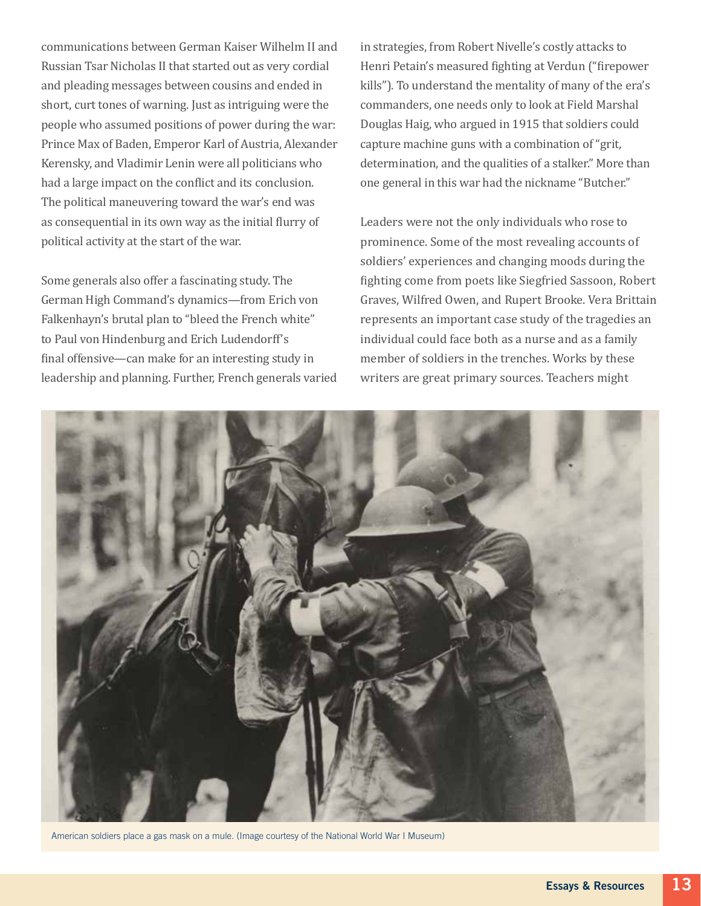communications between German Kaiser Wilhelm II and Russian Tsar Nicholas II that started out as very cordial and pleading messages between cousins and ended in short, curt tones of warning. Just as intriguing were the people who assumed positions of power during the war: Prince Max of Baden, Emperor Karl of Austria, Alexander Kerensky, and Vladimir Lenin were all politicians who had a large impact on the conflict and its conclusion. The political maneuvering toward the war's end was as consequential in its own way as the initial flurry of political activity at the start of the war.

Some generals also offer a fascinating study. The German High Command's dynamics—from Erich von Falkenhayn's brutal plan to "bleed the French white" to Paul von Hindenburg and Erich Ludendorff's final offensive—can make for an interesting study in leadership and planning. Further, French generals varied in strategies, from Robert Nivelle's costly attacks to Henri Petain's measured fighting at Verdun ("firepower kills"). To understand the mentality of many of the era's commanders, one needs only to look at Field Marshal Douglas Haig, who argued in 1915 that soldiers could capture machine guns with a combination of "grit, determination, and the qualities of a stalker." More than one general in this war had the nickname "Butcher."

Leaders were not the only individuals who rose to prominence. Some of the most revealing accounts of soldiers' experiences and changing moods during the fighting come from poets like Siegfried Sassoon, Robert Graves, Wilfred Owen, and Rupert Brooke. Vera Brittain represents an important case study of the tragedies an individual could face both as a nurse and as a family member of soldiers in the trenches. Works by these writers are great primary sources. Teachers might



American soldiers place a gas mask on a mule. (Image courtesy of the National World War I Museum)